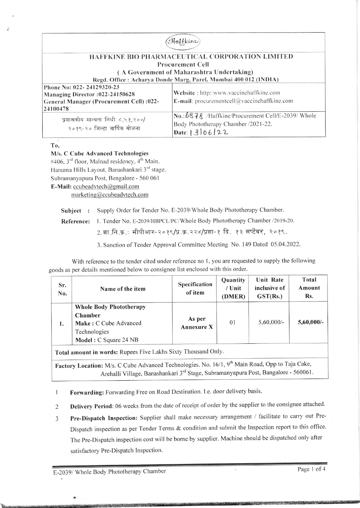| Haffkine                                                                    |                                                                                                              |  |  |  |  |
|-----------------------------------------------------------------------------|--------------------------------------------------------------------------------------------------------------|--|--|--|--|
| <b>HAFFKINE BIO PHARMACEUTICAL CORPORATION LIMITED</b>                      |                                                                                                              |  |  |  |  |
| <b>Procurement Cell</b>                                                     |                                                                                                              |  |  |  |  |
| (A Government of Maharashtra Undertaking)                                   |                                                                                                              |  |  |  |  |
| Regd. Office: Acharya Donde Marg, Parel, Mumbai 400 012 (INDIA)             |                                                                                                              |  |  |  |  |
| Phone No: 022-24129320-23                                                   | Website: http:/www.vaccinehaffkine.com                                                                       |  |  |  |  |
| Managing Director: 022-24150628<br>General Manager (Procurement Cell) :022- | <b>E-mail</b> : procurementcell $@$ vaccinehaffkine.com                                                      |  |  |  |  |
| 24100478                                                                    |                                                                                                              |  |  |  |  |
| प्रशासकीय मान्यता निधी ८,५१,२००/<br>२०१९-२० जिल्हा वार्षिक योजना            | No.: 6878 / Haffkine/Procurement Cell/E-2039/ Whole<br>Body Phototherapy Chamber /2021-22.<br>Date: $306/22$ |  |  |  |  |

To,

# M/s. C Cube Advanced Technologies

#406, 3<sup>rd</sup> floor, Malnad residency, 4<sup>th</sup> Main, Hanuma Hills Layout, Banashankari 3rd stage, Subramanyapura Post, Bengalore - 560 061 E-Mail: ccubeadvtech@gmail.com marketing@ccubeadvtech.com

Supply Order for Tender No. E-2039/Whole Body Phototherapy Chamber. Subject :

1. Tender No. E-2039/HBPCL/PC/Whole Body Phototherapy Chamber /2019-20. Reference:

2. शा.नि.क.: सीपीआर-२०१९/प्र.क्र.२२४/प्रशा-१ दि. १३ सप्टेंबर, २०१९.

3. Sanction of Tender Approval Committee Meeting No. 149 Dated 05.04.2022.

With reference to the tender cited under reference no 1, you are requested to supply the following goods as per details mentioned below to consignee list enclosed with this order.

| Sr.<br>No.                                                                                                                                                                                                    | Name of the item                                                                                            | Specification<br>of item    | Quantity<br>/ Unit<br>(DMER) | Unit Rate<br>inclusive of<br>GST(Rs.) | Total<br>Amount<br>Rs. |
|---------------------------------------------------------------------------------------------------------------------------------------------------------------------------------------------------------------|-------------------------------------------------------------------------------------------------------------|-----------------------------|------------------------------|---------------------------------------|------------------------|
| 1.                                                                                                                                                                                                            | <b>Whole Body Phototherapy</b><br>Chamber<br>Make: C Cube Advanced<br>Technologies<br>Model: C Square 24 NB | As per<br><b>Annexure X</b> | 01                           | $5,60,000/-$                          | $5,60,000/$ -          |
| Total amount in words: Rupees Five Lakhs Sixty Thousand Only.                                                                                                                                                 |                                                                                                             |                             |                              |                                       |                        |
| Factory Location: M/s. C Cube Advanced Technologies. No. 16/1, 9 <sup>th</sup> Main Road, Opp to Taja Cake,<br>Arehalli Village, Banashankari 3 <sup>rd</sup> Stage, Subramanyapura Post, Bangalore - 560061. |                                                                                                             |                             |                              |                                       |                        |

Forwarding: Forwarding Free on Road Destination. I.e. door delivery basis.  $\mathbf{1}$ 

Delivery Period: 06 weeks from the date of receipt of order by the supplier to the consignee attached.  $\overline{c}$ 

Pre-Dispatch Inspection: Supplier shall make necessary arrangement / facilitate to carry out Pre- $\overline{3}$ Dispatch inspection as per Tender Terms & condition and submit the Inspection report to this office. The Pre-Dispatch inspection cost will be borne by supplier. Machine should be dispatched only after satisfactory Pre-Dispatch Inspection.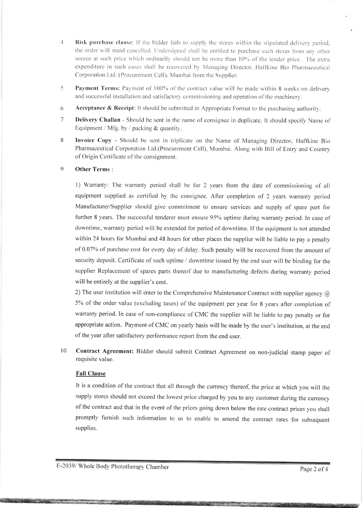- $\overline{4}$ Risk purchase clause: If the bidder fails to supply the stores within the stipulated delivery period. the order will stand cancelled. Undersigned shall be entitled to purchase such stores from any other source at such price which ordinarily should not be more than 10% of the tender price. The extra expenditure in such cases shall be recovered by Managing Director, Haffkine Bio Pharmaceutical Corporation Ltd. (Procurement Cell), Mumbai from the Supplier.
- Payment Terms: Payment of 100% of the contract value will be made within 8 weeks on delivery 5 and successful installation and satisfactory commissioning and operation of the machinery.
- 6 **Acceptance & Receipt:** It should be submitted in Appropriate Format to the purchasing authority.
- $\overline{7}$ **Delivery Challan** - Should be sent in the name of consignee in duplicate. It should specify Name of Equipment / Mfg. by / packing & quantity.
- 8 Invoice Copy - Should be sent in triplicate on the Name of Managing Director, Haffkine Bio Pharmaceutical Corporation Ltd.(Procurement Cell), Mumbai. Along with Bill of Entry and Country of Origin Certificate of the consignment.

#### $\mathbf Q$ Other Terms:

1) Warranty: The warranty period shall be for 2 years from the date of commissioning of all equipment supplied as certified by the consignee. After completion of 2 years warranty period Manufacturer/Supplier should give commitment to ensure services and supply of spare part for further 8 years. The successful tenderer must ensure 95% uptime during warranty period. In case of downtime, warranty period will be extended for period of downtime. If the equipment is not attended within 24 hours for Mumbai and 48 hours for other places the supplier will be liable to pay a penalty of 0.07% of purchase cost for every day of delay. Such penalty will be recovered from the amount of security deposit. Certificate of such uptime / downtime issued by the end user will be binding for the supplier Replacement of spares parts thereof due to manufacturing defects during warranty period will be entirely at the supplier's cost.

2) The user institution will enter to the Comprehensive Maintenance Contract with supplier agency  $\omega$ 5% of the order value (excluding taxes) of the equipment per year for 8 years after completion of warranty period. In case of non-compliance of CMC the supplier will be liable to pay penalty or for appropriate action. Payment of CMC on yearly basis will be made by the user's institution, at the end of the year after satisfactory performance report from the end user.

10 Contract Agreement: Bidder should submit Contract Agreement on non-judicial stamp paper of requisite value.

## **Fall Clause**

It is a condition of the contract that all through the currency thereof, the price at which you will the supply stores should not exceed the lowest price charged by you to any customer during the currency of the contract and that in the event of the prices going down below the rate contract prices you shall promptly furnish such information to us to enable to amend the contract rates for subsequent supplies.